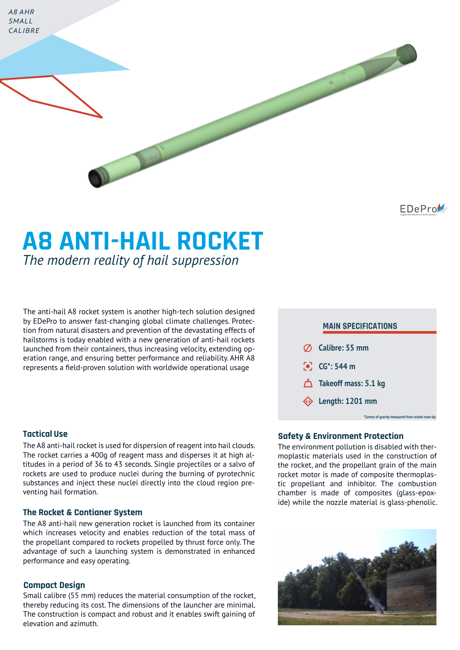*A8 AHR SMALL CALIBRE*

EDePro

# **A8 ANTI-HAIL ROCKET** *The modern reality of hail suppression*

The anti-hail A8 rocket system is another high-tech solution designed by EDePro to answer fast-changing global climate challenges. Protection from natural disasters and prevention of the devastating effects of hailstorms is today enabled with a new generation of anti-hail rockets launched from their containers, thus increasing velocity, extending operation range, and ensuring better performance and reliability. AHR A8 represents a field-proven solution with worldwide operational usage

### **Tactical Use**

The A8 anti-hail rocket is used for dispersion of reagent into hail clouds. The rocket carries a 400g of reagent mass and disperses it at high altitudes in a period of 36 to 43 seconds. Single projectiles or a salvo of rockets are used to produce nuclei during the burning of pyrotechnic substances and inject these nuclei directly into the cloud region preventing hail formation.

#### **The Rocket & Contianer System**

The A8 anti-hail new generation rocket is launched from its container which increases velocity and enables reduction of the total mass of the propellant compared to rockets propelled by thrust force only. The advantage of such a launching system is demonstrated in enhanced performance and easy operating.

#### **Compact Design**

Small calibre (55 mm) reduces the material consumption of the rocket, thereby reducing its cost. The dimensions of the launcher are minimal. The construction is compact and robust and it enables swift gaining of elevation and azimuth.



#### **Safety & Environment Protection**

The environment pollution is disabled with thermoplastic materials used in the construction of the rocket, and the propellant grain of the main rocket motor is made of composite thermoplastic propellant and inhibitor. The combustion chamber is made of composites (glass-epoxide) while the nozzle material is glass-phenolic.